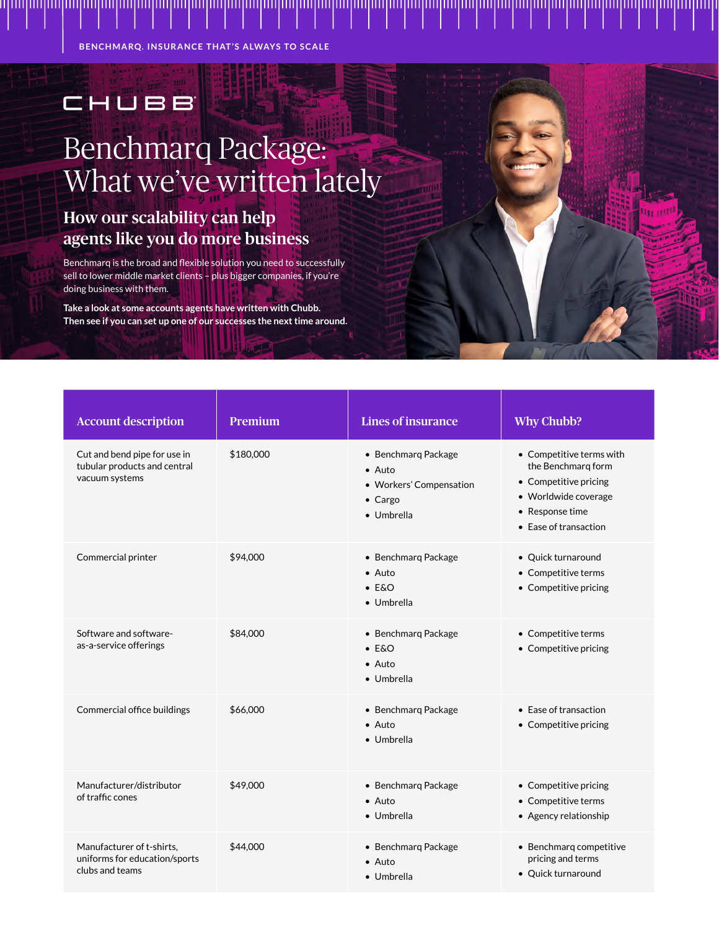**BENCHMARQ. INSURANCE THAT'S ALWAYS TO SCALE**

## CHUBB Benchmarq Package: What we've written lately

## How our scalability can help agents like you do more business

Benchmarq is the broad and flexible solution you need to successfully sell to lower middle market clients – plus bigger companies, if you're doing business with them.

**Take a look at some accounts agents have written with Chubb. Then see if you can set up one of our successes the next time around.**

| <b>Account description</b>                                                     | <b>Premium</b> | <b>Lines of insurance</b>                                                                         | <b>Why Chubb?</b>                                                                                                                           |
|--------------------------------------------------------------------------------|----------------|---------------------------------------------------------------------------------------------------|---------------------------------------------------------------------------------------------------------------------------------------------|
| Cut and bend pipe for use in<br>tubular products and central<br>vacuum systems | \$180,000      | • Benchmarg Package<br>$\bullet$ Auto<br>• Workers' Compensation<br>$\bullet$ Cargo<br>• Umbrella | • Competitive terms with<br>the Benchmarg form<br>• Competitive pricing<br>• Worldwide coverage<br>• Response time<br>• Ease of transaction |
| Commercial printer                                                             | \$94,000       | • Benchmarg Package<br>$\bullet$ Auto<br>$\bullet$ E&O<br>• Umbrella                              | • Quick turnaround<br>• Competitive terms<br>• Competitive pricing                                                                          |
| Software and software-<br>as-a-service offerings                               | \$84,000       | • Benchmarg Package<br>$-$ E&O<br>$\bullet$ Auto<br>• Umbrella                                    | • Competitive terms<br>• Competitive pricing                                                                                                |
| Commercial office buildings                                                    | \$66,000       | • Benchmarg Package<br>$\bullet$ Auto<br>• Umbrella                                               | • Ease of transaction<br>• Competitive pricing                                                                                              |
| Manufacturer/distributor<br>of traffic cones                                   | \$49,000       | • Benchmarg Package<br>$\bullet$ Auto<br>• Umbrella                                               | • Competitive pricing<br>• Competitive terms<br>• Agency relationship                                                                       |
| Manufacturer of t-shirts,<br>uniforms for education/sports<br>clubs and teams  | \$44,000       | · Benchmarq Package<br>$\bullet$ Auto<br>• Umbrella                                               | • Benchmarq competitive<br>pricing and terms<br>• Quick turnaround                                                                          |